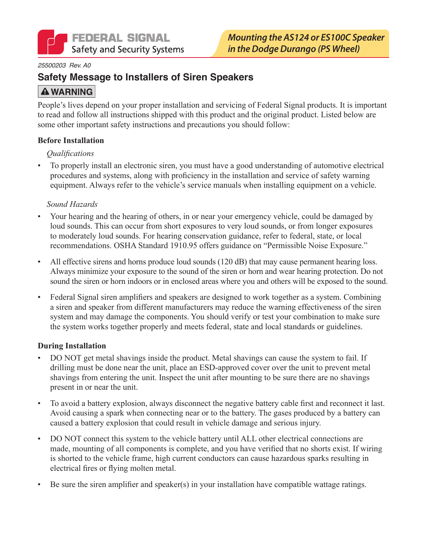

#### 25500203 Rev. A0

## **Safety Message to Installers of Siren Speakers**

## **A WARNING**

People's lives depend on your proper installation and servicing of Federal Signal products. It is important to read and follow all instructions shipped with this product and the original product. Listed below are some other important safety instructions and precautions you should follow:

#### **Before Installation**

### *<u>Oualifications</u>*

To properly install an electronic siren, you must have a good understanding of automotive electrical  $\bullet$ procedures and systems, along with proficiency in the installation and service of safety warning equipment. Always refer to the vehicle's service manuals when installing equipment on a vehicle.

#### Sound Hazards

- Your hearing and the hearing of others, in or near your emergency vehicle, could be damaged by loud sounds. This can occur from short exposures to very loud sounds, or from longer exposures to moderately loud sounds. For hearing conservation guidance, refer to federal, state, or local recommendations. OSHA Standard 1910.95 offers guidance on "Permissible Noise Exposure."
- All effective sirens and horns produce loud sounds (120 dB) that may cause permanent hearing loss. Always minimize your exposure to the sound of the siren or horn and wear hearing protection. Do not sound the siren or horn indoors or in enclosed areas where you and others will be exposed to the sound.
- Federal Signal siren amplifiers and speakers are designed to work together as a system. Combining a siren and speaker from different manufacturers may reduce the warning effectiveness of the siren system and may damage the components. You should verify or test your combination to make sure the system works together properly and meets federal, state and local standards or guidelines.

### **During Installation**

- DO NOT get metal shavings inside the product. Metal shavings can cause the system to fail. If drilling must be done near the unit, place an ESD-approved cover over the unit to prevent metal shavings from entering the unit. Inspect the unit after mounting to be sure there are no shavings present in or near the unit.
- To avoid a battery explosion, always disconnect the negative battery cable first and reconnect it last.  $\bullet$ Avoid causing a spark when connecting near or to the battery. The gases produced by a battery can caused a battery explosion that could result in vehicle damage and serious injury.
- DO NOT connect this system to the vehicle battery until ALL other electrical connections are made, mounting of all components is complete, and you have verified that no shorts exist. If wiring is shorted to the vehicle frame, high current conductors can cause hazardous sparks resulting in electrical fires or flying molten metal.
- Be sure the siren amplifier and speaker(s) in your installation have compatible wattage ratings.  $\bullet$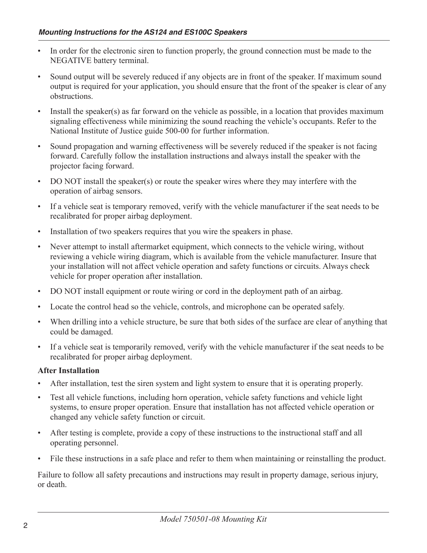- In order for the electronic siren to function properly, the ground connection must be made to the NEGATIVE battery terminal.
- Sound output will be severely reduced if any objects are in front of the speaker. If maximum sound output is required for your application, you should ensure that the front of the speaker is clear of any obstructions.
- Install the speaker(s) as far forward on the vehicle as possible, in a location that provides maximum signaling effectiveness while minimizing the sound reaching the vehicle's occupants. Refer to the National Institute of Justice guide 500-00 for further information.
- Sound propagation and warning effectiveness will be severely reduced if the speaker is not facing  $\bullet$ forward. Carefully follow the installation instructions and always install the speaker with the projector facing forward.
- DO NOT install the speaker(s) or route the speaker wires where they may interfere with the operation of airbag sensors.
- If a vehicle seat is temporary removed, verify with the vehicle manufacturer if the seat needs to be recalibrated for proper airbag deployment.
- Installation of two speakers requires that you wire the speakers in phase.  $\bullet$
- Never attempt to install aftermarket equipment, which connects to the vehicle wiring, without reviewing a vehicle wiring diagram, which is available from the vehicle manufacturer. Insure that your installation will not affect vehicle operation and safety functions or circuits. Always check vehicle for proper operation after installation.
- DO NOT install equipment or route wiring or cord in the deployment path of an airbag.  $\bullet$
- Locate the control head so the vehicle, controls, and microphone can be operated safely.  $\bullet$
- When drilling into a vehicle structure, be sure that both sides of the surface are clear of anything that  $\bullet$ could be damaged.
- If a vehicle seat is temporarily removed, verify with the vehicle manufacturer if the seat needs to be recalibrated for proper airbag deployment.

### **After Installation**

- After installation, test the siren system and light system to ensure that it is operating properly.
- Test all vehicle functions, including horn operation, vehicle safety functions and vehicle light  $\bullet$ systems, to ensure proper operation. Ensure that installation has not affected vehicle operation or changed any vehicle safety function or circuit.
- After testing is complete, provide a copy of these instructions to the instructional staff and all  $\bullet$ operating personnel.
- File these instructions in a safe place and refer to them when maintaining or reinstalling the product.

Failure to follow all safety precautions and instructions may result in property damage, serious injury, or death.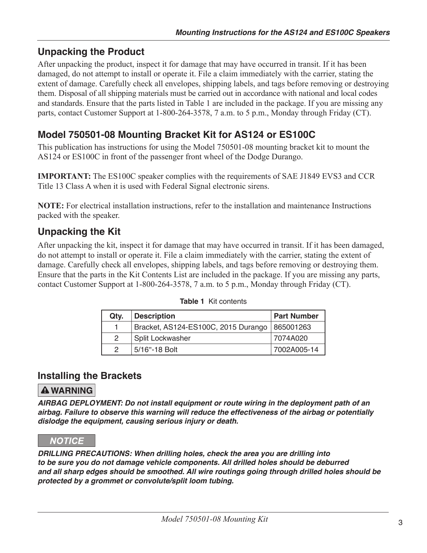# **Unpacking the Product**

After unpacking the product, inspect it for damage that may have occurred in transit. If it has been damaged, do not attempt to install or operate it. File a claim immediately with the carrier, stating the extent of damage. Carefully check all envelopes, shipping labels, and tags before removing or destroying them. Disposal of all shipping materials must be carried out in accordance with national and local codes and standards. Ensure that the parts listed in Table 1 are included in the package. If you are missing any parts, contact Customer Support at 1-800-264-3578, 7 a.m. to 5 p.m., Monday through Friday (CT).

## Model 750501-08 Mounting Bracket Kit for AS124 or ES100C

This publication has instructions for using the Model 750501-08 mounting bracket kit to mount the AS124 or ES100C in front of the passenger front wheel of the Dodge Durango.

**IMPORTANT:** The ES100C speaker complies with the requirements of SAE J1849 EVS3 and CCR Title 13 Class A when it is used with Federal Signal electronic sirens.

NOTE: For electrical installation instructions, refer to the installation and maintenance Instructions packed with the speaker.

# **Unpacking the Kit**

After unpacking the kit, inspect it for damage that may have occurred in transit. If it has been damaged, do not attempt to install or operate it. File a claim immediately with the carrier, stating the extent of damage. Carefully check all envelopes, shipping labels, and tags before removing or destroying them. Ensure that the parts in the Kit Contents List are included in the package. If you are missing any parts, contact Customer Support at 1-800-264-3578, 7 a.m. to 5 p.m., Monday through Friday (CT).

| Qty.          | <b>Description</b>                              | <b>Part Number</b> |
|---------------|-------------------------------------------------|--------------------|
|               | Bracket, AS124-ES100C, 2015 Durango   865001263 |                    |
| $\mathcal{P}$ | <b>Split Lockwasher</b>                         | 7074A020           |
| $\mathcal{D}$ | 5/16"-18 Bolt                                   | 7002A005-14        |

### Table 1 Kit contents

### **Installing the Brackets**

## **A WARNING**

AIRBAG DEPLOYMENT: Do not install equipment or route wiring in the deployment path of an airbag. Failure to observe this warning will reduce the effectiveness of the airbag or potentially dislodge the equipment, causing serious injury or death.

### **NOTICE**

DRILLING PRECAUTIONS: When drilling holes, check the area you are drilling into to be sure you do not damage vehicle components. All drilled holes should be deburred and all sharp edges should be smoothed. All wire routings going through drilled holes should be protected by a grommet or convolute/split loom tubing.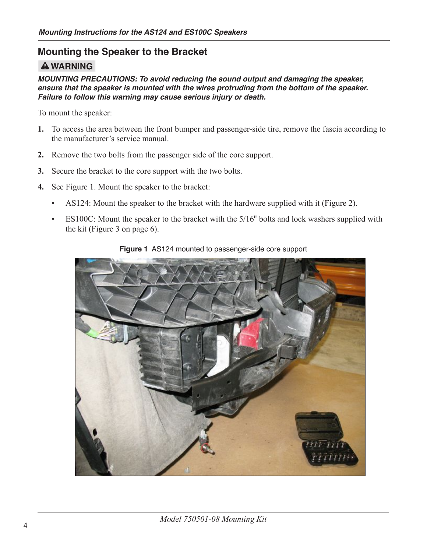## **Mounting the Speaker to the Bracket**

## **A WARNING**

MOUNTING PRECAUTIONS: To avoid reducing the sound output and damaging the speaker, ensure that the speaker is mounted with the wires protruding from the bottom of the speaker. Failure to follow this warning may cause serious injury or death.

To mount the speaker:

- 1. To access the area between the front bumper and passenger-side tire, remove the fascia according to the manufacturer's service manual
- 2. Remove the two bolts from the passenger side of the core support.
- 3. Secure the bracket to the core support with the two bolts.
- 4. See Figure 1. Mount the speaker to the bracket:
	- AS124: Mount the speaker to the bracket with the hardware supplied with it (Figure 2).  $\bullet$  .
	- ES100C: Mount the speaker to the bracket with the 5/16" bolts and lock washers supplied with  $\bullet$  . the kit (Figure 3 on page 6).



Figure 1 AS124 mounted to passenger-side core support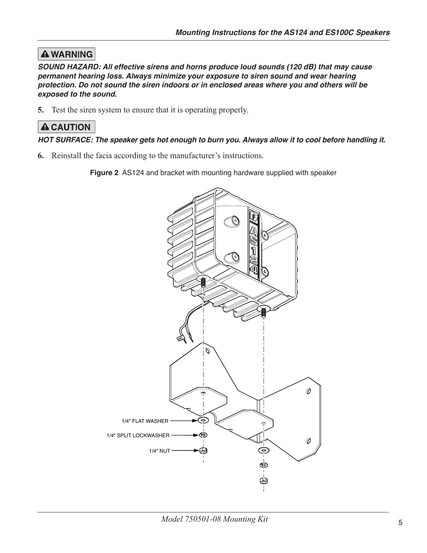# **A WARNING**

SOUND HAZARD: All effective sirens and horns produce loud sounds (120 dB) that may cause permanent hearing loss. Always minimize your exposure to siren sound and wear hearing protection. Do not sound the siren indoors or in enclosed areas where you and others will be exposed to the sound.

5. Test the siren system to ensure that it is operating properly.

## **A CAUTION**

### HOT SURFACE: The speaker gets hot enough to burn you. Always allow it to cool before handling it.

**6.** Reinstall the facia according to the manufacturer's instructions.

Figure 2 AS124 and bracket with mounting hardware supplied with speaker

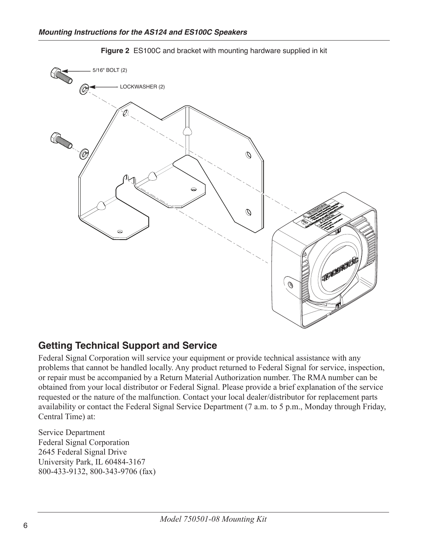

Figure 2 ES100C and bracket with mounting hardware supplied in kit

## **Getting Technical Support and Service**

Federal Signal Corporation will service your equipment or provide technical assistance with any problems that cannot be handled locally. Any product returned to Federal Signal for service, inspection, or repair must be accompanied by a Return Material Authorization number. The RMA number can be obtained from your local distributor or Federal Signal. Please provide a brief explanation of the service requested or the nature of the malfunction. Contact your local dealer/distributor for replacement parts availability or contact the Federal Signal Service Department (7 a.m. to 5 p.m., Monday through Friday, Central Time) at:

Service Department **Federal Signal Corporation** 2645 Federal Signal Drive University Park, IL 60484-3167 800-433-9132, 800-343-9706 (fax)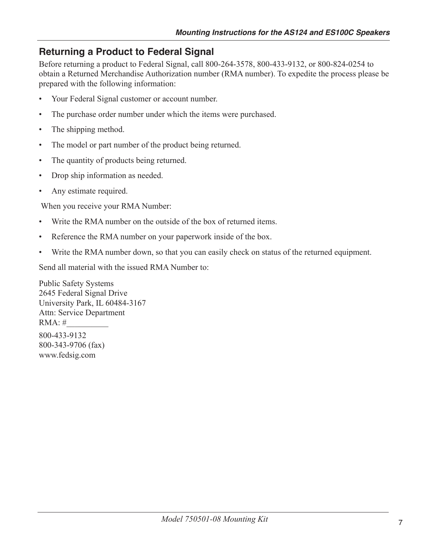# **Returning a Product to Federal Signal**

Before returning a product to Federal Signal, call 800-264-3578, 800-433-9132, or 800-824-0254 to obtain a Returned Merchandise Authorization number (RMA number). To expedite the process please be prepared with the following information:

- Your Federal Signal customer or account number.
- The purchase order number under which the items were purchased.
- The shipping method.  $\bullet$
- The model or part number of the product being returned.  $\bullet$
- The quantity of products being returned.  $\bullet$
- Drop ship information as needed.  $\bullet$
- Any estimate required.

When you receive your RMA Number:

- Write the RMA number on the outside of the box of returned items
- Reference the RMA number on your paperwork inside of the box.  $\bullet$
- $\bullet$ Write the RMA number down, so that you can easily check on status of the returned equipment.

Send all material with the issued RMA Number to:

**Public Safety Systems** 2645 Federal Signal Drive University Park, IL 60484-3167 Attn: Service Department  $RMA:#$ 800-433-9132 800-343-9706 (fax) www.fedsig.com